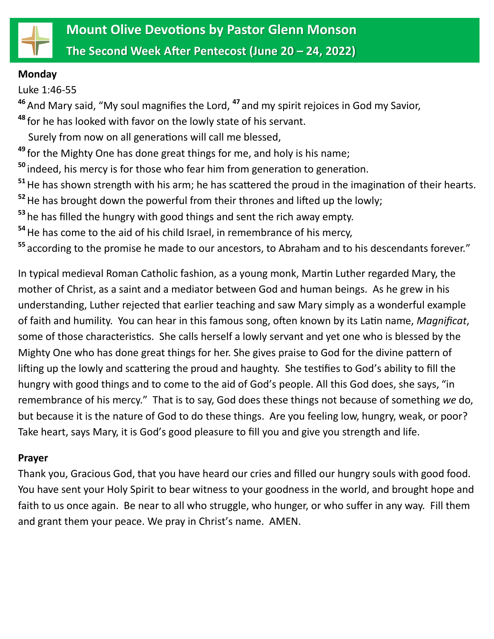

#### **Monday**

Luke 1:46-55

**<sup>46</sup>**And Mary said, "My soul magnifies the Lord, **<sup>47</sup>** and my spirit rejoices in God my Savior,

**<sup>48</sup>** for he has looked with favor on the lowly state of his servant.

Surely from now on all generations will call me blessed,

**<sup>49</sup>** for the Mighty One has done great things for me, and holy is his name;

**<sup>50</sup>** indeed, his mercy is for those who fear him from generation to generation.

**<sup>51</sup>**He has shown strength with his arm; he has scattered the proud in the imagination of their hearts.

**<sup>52</sup>**He has brought down the powerful from their thrones and lifted up the lowly;

**<sup>53</sup>** he has filled the hungry with good things and sent the rich away empty.

**<sup>54</sup>**He has come to the aid of his child Israel, in remembrance of his mercy,

**<sup>55</sup>** according to the promise he made to our ancestors, to Abraham and to his descendants forever."

In typical medieval Roman Catholic fashion, as a young monk, Martin Luther regarded Mary, the mother of Christ, as a saint and a mediator between God and human beings. As he grew in his understanding, Luther rejected that earlier teaching and saw Mary simply as a wonderful example of faith and humility. You can hear in this famous song, often known by its Latin name, *Magnificat*, some of those characteristics. She calls herself a lowly servant and yet one who is blessed by the Mighty One who has done great things for her. She gives praise to God for the divine pattern of lifting up the lowly and scattering the proud and haughty. She testifies to God's ability to fill the hungry with good things and to come to the aid of God's people. All this God does, she says, "in remembrance of his mercy." That is to say, God does these things not because of something *we* do, but because it is the nature of God to do these things. Are you feeling low, hungry, weak, or poor? Take heart, says Mary, it is God's good pleasure to fill you and give you strength and life.

# **Prayer**

Thank you, Gracious God, that you have heard our cries and filled our hungry souls with good food. You have sent your Holy Spirit to bear witness to your goodness in the world, and brought hope and faith to us once again. Be near to all who struggle, who hunger, or who suffer in any way. Fill them and grant them your peace. We pray in Christ's name. AMEN.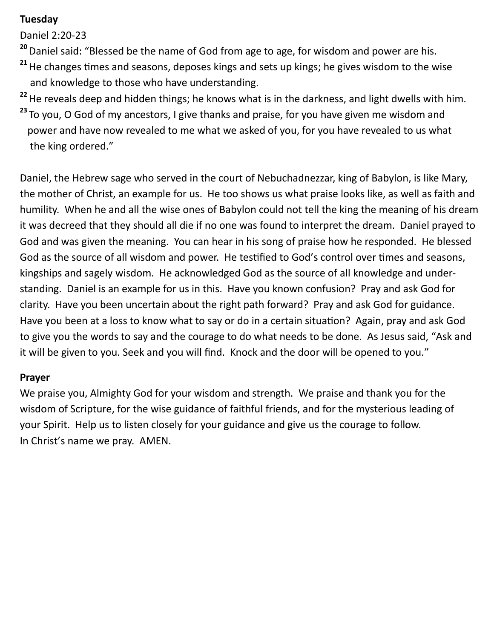## **Tuesday**

Daniel 2:20-23

**<sup>20</sup>**Daniel said: "Blessed be the name of God from age to age, for wisdom and power are his.

- **<sup>21</sup>**He changes times and seasons, deposes kings and sets up kings; he gives wisdom to the wise and knowledge to those who have understanding.
- **<sup>22</sup>**He reveals deep and hidden things; he knows what is in the darkness, and light dwells with him.
- **<sup>23</sup>** To you, O God of my ancestors, I give thanks and praise, for you have given me wisdom and power and have now revealed to me what we asked of you, for you have revealed to us what the king ordered."

Daniel, the Hebrew sage who served in the court of Nebuchadnezzar, king of Babylon, is like Mary, the mother of Christ, an example for us. He too shows us what praise looks like, as well as faith and humility. When he and all the wise ones of Babylon could not tell the king the meaning of his dream it was decreed that they should all die if no one was found to interpret the dream. Daniel prayed to God and was given the meaning. You can hear in his song of praise how he responded. He blessed God as the source of all wisdom and power. He testified to God's control over times and seasons, kingships and sagely wisdom. He acknowledged God as the source of all knowledge and understanding. Daniel is an example for us in this. Have you known confusion? Pray and ask God for clarity. Have you been uncertain about the right path forward? Pray and ask God for guidance. Have you been at a loss to know what to say or do in a certain situation? Again, pray and ask God to give you the words to say and the courage to do what needs to be done. As Jesus said, "Ask and it will be given to you. Seek and you will find. Knock and the door will be opened to you."

## **Prayer**

We praise you, Almighty God for your wisdom and strength. We praise and thank you for the wisdom of Scripture, for the wise guidance of faithful friends, and for the mysterious leading of your Spirit. Help us to listen closely for your guidance and give us the courage to follow. In Christ's name we pray. AMEN.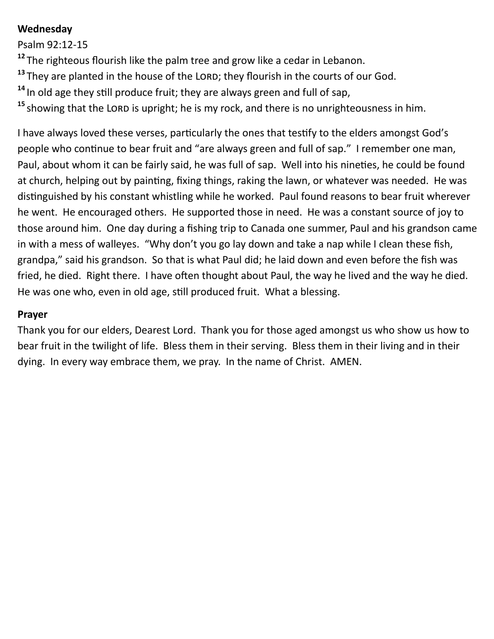## **Wednesday**

Psalm 92:12-15

**<sup>12</sup>** The righteous flourish like the palm tree and grow like a cedar in Lebanon.

- <sup>13</sup> They are planted in the house of the LORD; they flourish in the courts of our God.
- **<sup>14</sup>** In old age they still produce fruit; they are always green and full of sap,
- <sup>15</sup> showing that the LORD is upright; he is my rock, and there is no unrighteousness in him.

I have always loved these verses, particularly the ones that testify to the elders amongst God's people who continue to bear fruit and "are always green and full of sap." I remember one man, Paul, about whom it can be fairly said, he was full of sap. Well into his nineties, he could be found at church, helping out by painting, fixing things, raking the lawn, or whatever was needed. He was distinguished by his constant whistling while he worked. Paul found reasons to bear fruit wherever he went. He encouraged others. He supported those in need. He was a constant source of joy to those around him. One day during a fishing trip to Canada one summer, Paul and his grandson came in with a mess of walleyes. "Why don't you go lay down and take a nap while I clean these fish, grandpa," said his grandson. So that is what Paul did; he laid down and even before the fish was fried, he died. Right there. I have often thought about Paul, the way he lived and the way he died. He was one who, even in old age, still produced fruit. What a blessing.

### **Prayer**

Thank you for our elders, Dearest Lord. Thank you for those aged amongst us who show us how to bear fruit in the twilight of life. Bless them in their serving. Bless them in their living and in their dying. In every way embrace them, we pray. In the name of Christ. AMEN.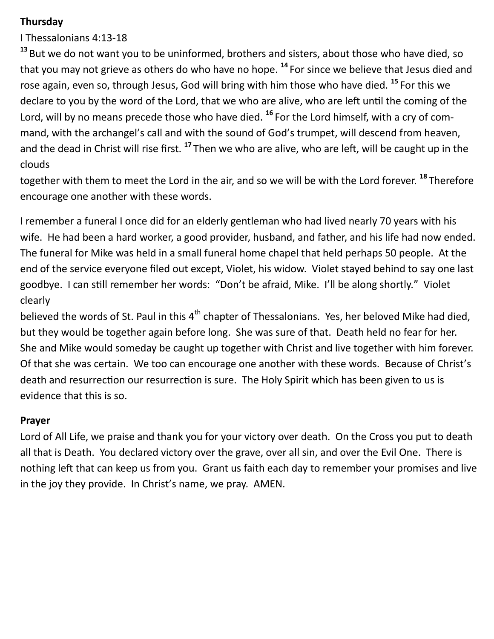## **Thursday**

I Thessalonians 4:13-18

**<sup>13</sup>** But we do not want you to be uninformed, brothers and sisters, about those who have died, so that you may not grieve as others do who have no hope. **<sup>14</sup>** For since we believe that Jesus died and rose again, even so, through Jesus, God will bring with him those who have died. **<sup>15</sup>** For this we declare to you by the word of the Lord, that we who are alive, who are left until the coming of the Lord, will by no means precede those who have died. **<sup>16</sup>** For the Lord himself, with a cry of command, with the archangel's call and with the sound of God's trumpet, will descend from heaven, and the dead in Christ will rise first. **<sup>17</sup>** Then we who are alive, who are left, will be caught up in the clouds

together with them to meet the Lord in the air, and so we will be with the Lord forever. **<sup>18</sup>** Therefore encourage one another with these words.

I remember a funeral I once did for an elderly gentleman who had lived nearly 70 years with his wife. He had been a hard worker, a good provider, husband, and father, and his life had now ended. The funeral for Mike was held in a small funeral home chapel that held perhaps 50 people. At the end of the service everyone filed out except, Violet, his widow. Violet stayed behind to say one last goodbye. I can still remember her words: "Don't be afraid, Mike. I'll be along shortly." Violet clearly

believed the words of St. Paul in this 4<sup>th</sup> chapter of Thessalonians. Yes, her beloved Mike had died, but they would be together again before long. She was sure of that. Death held no fear for her. She and Mike would someday be caught up together with Christ and live together with him forever. Of that she was certain. We too can encourage one another with these words. Because of Christ's death and resurrection our resurrection is sure. The Holy Spirit which has been given to us is evidence that this is so.

## **Prayer**

Lord of All Life, we praise and thank you for your victory over death. On the Cross you put to death all that is Death. You declared victory over the grave, over all sin, and over the Evil One. There is nothing left that can keep us from you. Grant us faith each day to remember your promises and live in the joy they provide. In Christ's name, we pray. AMEN.